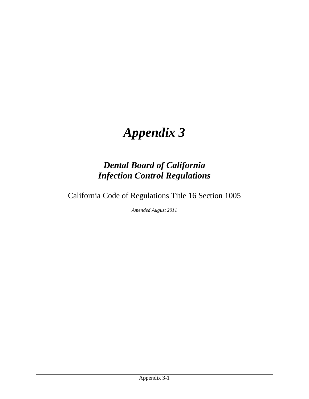# *Appendix 3*

# *Dental Board of California Infection Control Regulations*

California Code of Regulations Title 16 Section 1005

*Amended August 2011*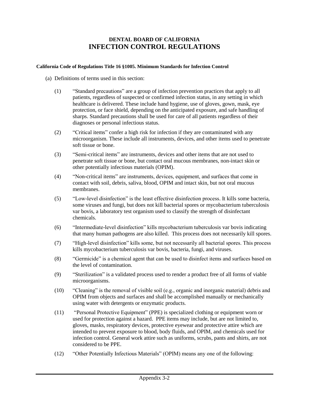# **DENTAL BOARD OF CALIFORNIA INFECTION CONTROL REGULATIONS**

#### **California Code of Regulations Title 16 §1005. Minimum Standards for Infection Control**

- (a) Definitions of terms used in this section:
	- (1) "Standard precautions" are a group of infection prevention practices that apply to all patients, regardless of suspected or confirmed infection status, in any setting in which healthcare is delivered. These include hand hygiene, use of gloves, gown, mask, eye protection, or face shield, depending on the anticipated exposure, and safe handling of sharps. Standard precautions shall be used for care of all patients regardless of their diagnoses or personal infectious status.
	- (2) "Critical items" confer a high risk for infection if they are contaminated with any microorganism. These include all instruments, devices, and other items used to penetrate soft tissue or bone.
	- (3) "Semi-critical items" are instruments, devices and other items that are not used to penetrate soft tissue or bone, but contact oral mucous membranes, non-intact skin or other potentially infectious materials (OPIM).
	- (4) "Non-critical items" are instruments, devices, equipment, and surfaces that come in contact with soil, debris, saliva, blood, OPIM and intact skin, but not oral mucous membranes.
	- (5) "Low-level disinfection" is the least effective disinfection process. It kills some bacteria, some viruses and fungi, but does not kill bacterial spores or mycobacterium tuberculosis var bovis, a laboratory test organism used to classify the strength of disinfectant chemicals.
	- (6) "Intermediate-level disinfection" kills mycobacterium tuberculosis var bovis indicating that many human pathogens are also killed. This process does not necessarily kill spores.
	- (7) "High-level disinfection" kills some, but not necessarily all bacterial spores. This process kills mycobacterium tuberculosis var bovis, bacteria, fungi, and viruses.
	- (8) "Germicide" is a chemical agent that can be used to disinfect items and surfaces based on the level of contamination.
	- (9) "Sterilization" is a validated process used to render a product free of all forms of viable microorganisms.
	- (10) "Cleaning" is the removal of visible soil (e.g., organic and inorganic material) debris and OPIM from objects and surfaces and shall be accomplished manually or mechanically using water with detergents or enzymatic products.
	- (11) "Personal Protective Equipment" (PPE) is specialized clothing or equipment worn or used for protection against a hazard. PPE items may include, but are not limited to, gloves, masks, respiratory devices, protective eyewear and protective attire which are intended to prevent exposure to blood, body fluids, and OPIM, and chemicals used for infection control. General work attire such as uniforms, scrubs, pants and shirts, are not considered to be PPE.
	- (12) "Other Potentially Infectious Materials" (OPIM) means any one of the following: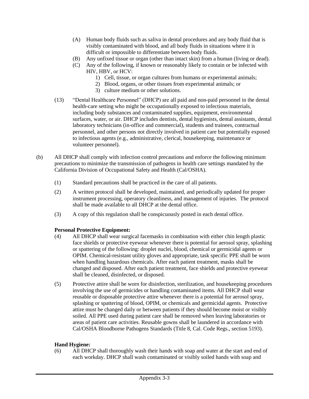- (A) Human body fluids such as saliva in dental procedures and any body fluid that is visibly contaminated with blood, and all body fluids in situations where it is difficult or impossible to differentiate between body fluids.
- (B) Any unfixed tissue or organ (other than intact skin) from a human (living or dead).
- (C) Any of the following, if known or reasonably likely to contain or be infected with HIV, HBV, or HCV:
	- 1) Cell, tissue, or organ cultures from humans or experimental animals;
	- 2) Blood, organs, or other tissues from experimental animals; or
	- 3) culture medium or other solutions.
- (13) "Dental Healthcare Personnel" (DHCP) are all paid and non-paid personnel in the dental health-care setting who might be occupationally exposed to infectious materials, including body substances and contaminated supplies, equipment, environmental surfaces, water, or air. DHCP includes dentists, dental hygienists, dental assistants, dental laboratory technicians (in-office and commercial), students and trainees, contractual personnel, and other persons not directly involved in patient care but potentially exposed to infectious agents (e.g., administrative, clerical, housekeeping, maintenance or volunteer personnel).
- (b) All DHCP shall comply with infection control precautions and enforce the following minimum precautions to minimize the transmission of pathogens in health care settings mandated by the California Division of Occupational Safety and Health (Cal/OSHA).
	- (1) Standard precautions shall be practiced in the care of all patients.
	- (2) A written protocol shall be developed, maintained, and periodically updated for proper instrument processing, operatory cleanliness, and management of injuries. The protocol shall be made available to all DHCP at the dental office.
	- (3) A copy of this regulation shall be conspicuously posted in each dental office.

## **Personal Protective Equipment:**

- (4) All DHCP shall wear surgical facemasks in combination with either chin length plastic face shields or protective eyewear whenever there is potential for aerosol spray, splashing or spattering of the following: droplet nuclei, blood, chemical or germicidal agents or OPIM. Chemical-resistant utility gloves and appropriate, task specific PPE shall be worn when handling hazardous chemicals. After each patient treatment, masks shall be changed and disposed. After each patient treatment, face shields and protective eyewear shall be cleaned, disinfected, or disposed.
- (5) Protective attire shall be worn for disinfection, sterilization, and housekeeping procedures involving the use of germicides or handling contaminated items. All DHCP shall wear reusable or disposable protective attire whenever there is a potential for aerosol spray, splashing or spattering of blood, OPIM, or chemicals and germicidal agents. Protective attire must be changed daily or between patients if they should become moist or visibly soiled. All PPE used during patient care shall be removed when leaving laboratories or areas of patient care activities. Reusable gowns shall be laundered in accordance with Cal/OSHA Bloodborne Pathogens Standards (Title 8, Cal. Code Regs., section 5193).

## **Hand Hygiene:**

(6) All DHCP shall thoroughly wash their hands with soap and water at the start and end of each workday. DHCP shall wash contaminated or visibly soiled hands with soap and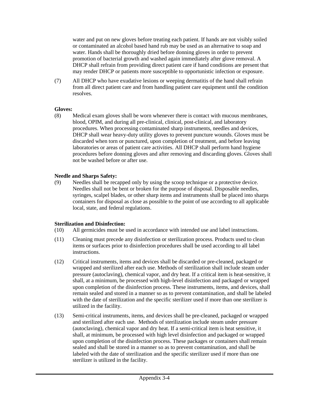water and put on new gloves before treating each patient. If hands are not visibly soiled or contaminated an alcohol based hand rub may be used as an alternative to soap and water. Hands shall be thoroughly dried before donning gloves in order to prevent promotion of bacterial growth and washed again immediately after glove removal. A DHCP shall refrain from providing direct patient care if hand conditions are present that may render DHCP or patients more susceptible to opportunistic infection or exposure.

(7) All DHCP who have exudative lesions or weeping dermatitis of the hand shall refrain from all direct patient care and from handling patient care equipment until the condition resolves.

#### **Gloves:**

(8) Medical exam gloves shall be worn whenever there is contact with mucous membranes, blood, OPIM, and during all pre-clinical, clinical, post-clinical, and laboratory procedures. When processing contaminated sharp instruments, needles and devices, DHCP shall wear heavy-duty utility gloves to prevent puncture wounds. Gloves must be discarded when torn or punctured, upon completion of treatment, and before leaving laboratories or areas of patient care activities. All DHCP shall perform hand hygiene procedures before donning gloves and after removing and discarding gloves. Gloves shall not be washed before or after use.

#### **Needle and Sharps Safety:**

(9) Needles shall be recapped only by using the scoop technique or a protective device. Needles shall not be bent or broken for the purpose of disposal. Disposable needles, syringes, scalpel blades, or other sharp items and instruments shall be placed into sharps containers for disposal as close as possible to the point of use according to all applicable local, state, and federal regulations.

#### **Sterilization and Disinfection:**

- (10) All germicides must be used in accordance with intended use and label instructions.
- (11) Cleaning must precede any disinfection or sterilization process. Products used to clean items or surfaces prior to disinfection procedures shall be used according to all label instructions.
- (12) Critical instruments, items and devices shall be discarded or pre-cleaned, packaged or wrapped and sterilized after each use. Methods of sterilization shall include steam under pressure (autoclaving), chemical vapor, and dry heat. If a critical item is heat-sensitive, it shall, at a minimum, be processed with high-level disinfection and packaged or wrapped upon completion of the disinfection process. These instruments, items, and devices, shall remain sealed and stored in a manner so as to prevent contamination, and shall be labeled with the date of sterilization and the specific sterilizer used if more than one sterilizer is utilized in the facility.
- (13) Semi-critical instruments, items, and devices shall be pre-cleaned, packaged or wrapped and sterilized after each use. Methods of sterilization include steam under pressure (autoclaving), chemical vapor and dry heat. If a semi-critical item is heat sensitive, it shall, at minimum, be processed with high level disinfection and packaged or wrapped upon completion of the disinfection process. These packages or containers shall remain sealed and shall be stored in a manner so as to prevent contamination, and shall be labeled with the date of sterilization and the specific sterilizer used if more than one sterilizer is utilized in the facility.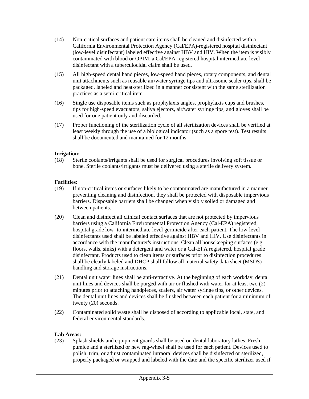- (14) Non-critical surfaces and patient care items shall be cleaned and disinfected with a California Environmental Protection Agency (Cal/EPA)-registered hospital disinfectant (low-level disinfectant) labeled effective against HBV and HIV. When the item is visibly contaminated with blood or OPIM, a Cal/EPA-registered hospital intermediate-level disinfectant with a tuberculocidal claim shall be used.
- (15) All high-speed dental hand pieces, low-speed hand pieces, rotary components, and dental unit attachments such as reusable air/water syringe tips and ultrasonic scaler tips, shall be packaged, labeled and heat-sterilized in a manner consistent with the same sterilization practices as a semi-critical item.
- (16) Single use disposable items such as prophylaxis angles, prophylaxis cups and brushes, tips for high-speed evacuators, saliva ejectors, air/water syringe tips, and gloves shall be used for one patient only and discarded.
- (17) Proper functioning of the sterilization cycle of all sterilization devices shall be verified at least weekly through the use of a biological indicator (such as a spore test). Test results shall be documented and maintained for 12 months.

#### **Irrigation:**

(18) Sterile coolants/irrigants shall be used for surgical procedures involving soft tissue or bone. Sterile coolants/irrigants must be delivered using a sterile delivery system.

#### **Facilities:**

- (19) If non-critical items or surfaces likely to be contaminated are manufactured in a manner preventing cleaning and disinfection, they shall be protected with disposable impervious barriers. Disposable barriers shall be changed when visibly soiled or damaged and between patients.
- (20) Clean and disinfect all clinical contact surfaces that are not protected by impervious barriers using a California Environmental Protection Agency (Cal-EPA) registered, hospital grade low- to intermediate-level germicide after each patient. The low-level disinfectants used shall be labeled effective against HBV and HIV. Use disinfectants in accordance with the manufacturer's instructions. Clean all housekeeping surfaces (e.g. floors, walls, sinks) with a detergent and water or a Cal-EPA registered, hospital grade disinfectant. Products used to clean items or surfaces prior to disinfection procedures shall be clearly labeled and DHCP shall follow all material safety data sheet (MSDS) handling and storage instructions.
- (21) Dental unit water lines shall be anti-retractive. At the beginning of each workday, dental unit lines and devices shall be purged with air or flushed with water for at least two (2) minutes prior to attaching handpieces, scalers, air water syringe tips, or other devices. The dental unit lines and devices shall be flushed between each patient for a minimum of twenty (20) seconds.
- (22) Contaminated solid waste shall be disposed of according to applicable local, state, and federal environmental standards.

#### **Lab Areas:**

(23) Splash shields and equipment guards shall be used on dental laboratory lathes. Fresh pumice and a sterilized or new rag-wheel shall be used for each patient. Devices used to polish, trim, or adjust contaminated intraoral devices shall be disinfected or sterilized, properly packaged or wrapped and labeled with the date and the specific sterilizer used if